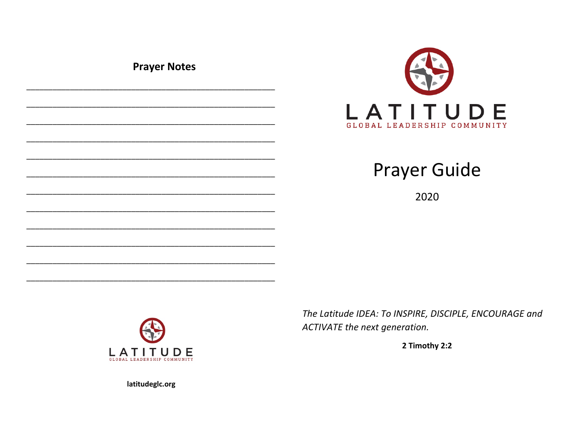**Prayer Notes** 





2020



The Latitude IDEA: To INSPIRE, DISCIPLE, ENCOURAGE and ACTIVATE the next generation.

2 Timothy 2:2

latitudeglc.org